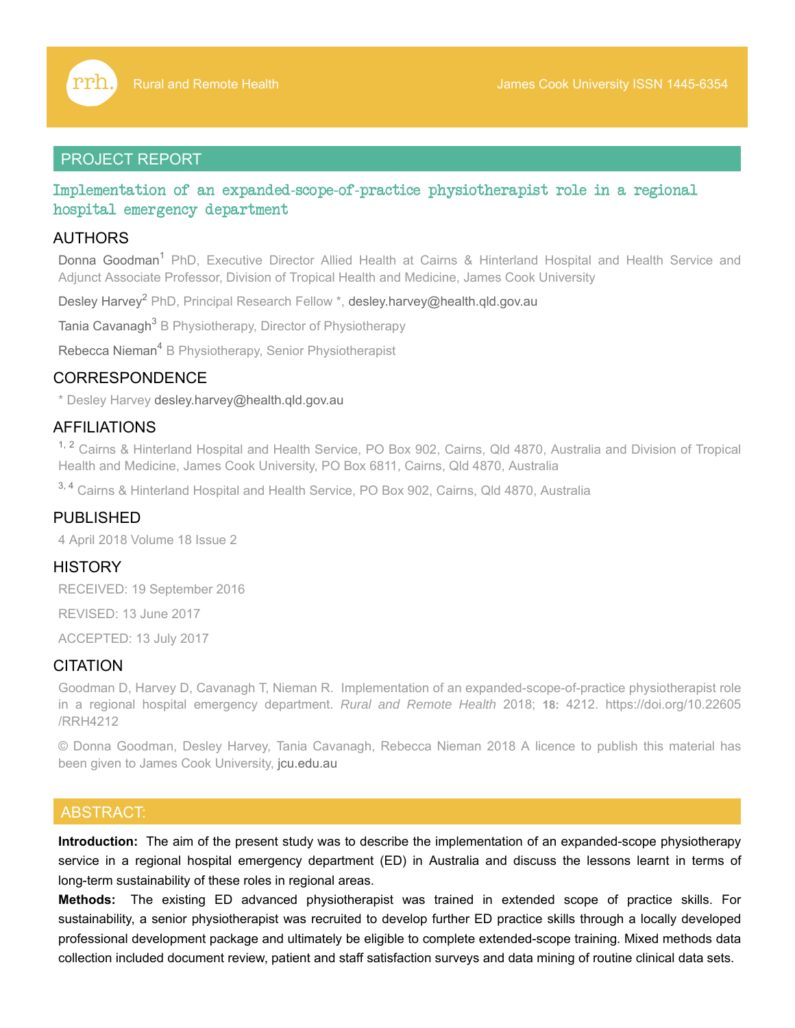

# PROJECT REPORT

Implementation of an expanded-scope-of-practice physiotherapist role in a regional hospital emergency department

# AUTHORS

Donna Goodman<sup>1</sup> PhD, Executive Director Allied Health at Cairns & Hinterland Hospital and Health Service and Adjunct Associate Professor, Division of Tropical Health and Medicine, James Cook University

Desley Harvey<sup>2</sup> PhD, Principal Research Fellow \*, desley.harvey@health.qld.gov.au

Tania Cavanagh<sup>3</sup> B Physiotherapy, Director of Physiotherapy

Rebecca Nieman<sup>4</sup> B Physiotherapy, Senior Physiotherapist

# CORRESPONDENCE

\* Desley Harvey desley.harvey@health.qld.gov.au

# AFFILIATIONS

<sup>1, 2</sup> Cairns & Hinterland Hospital and Health Service, PO Box 902, Cairns, Qld 4870, Australia and Division of Tropical Health and Medicine, James Cook University, PO Box 6811, Cairns, Qld 4870, Australia

<sup>3, 4</sup> Cairns & Hinterland Hospital and Health Service, PO Box 902, Cairns, Qld 4870, Australia

## PUBLISHED

4 April 2018 Volume 18 Issue 2

### **HISTORY**

RECEIVED: 19 September 2016

REVISED: 13 June 2017

ACCEPTED: 13 July 2017

# **CITATION**

Goodman D, Harvey D, Cavanagh T, Nieman R. Implementation of an expanded-scope-of-practice physiotherapist role in a regional hospital emergency department. *Rural and Remote Health* 2018; **18:** 4212. https://doi.org/10.22605 /RRH4212

© Donna Goodman, Desley Harvey, Tania Cavanagh, Rebecca Nieman 2018 A licence to publish this material has been given to James Cook University, jcu.edu.au

# ABSTRACT:

**Introduction:** The aim of the present study was to describe the implementation of an expanded-scope physiotherapy service in a regional hospital emergency department (ED) in Australia and discuss the lessons learnt in terms of long-term sustainability of these roles in regional areas.

**Methods:** The existing ED advanced physiotherapist was trained in extended scope of practice skills. For sustainability, a senior physiotherapist was recruited to develop further ED practice skills through a locally developed professional development package and ultimately be eligible to complete extended-scope training. Mixed methods data collection included document review, patient and staff satisfaction surveys and data mining of routine clinical data sets.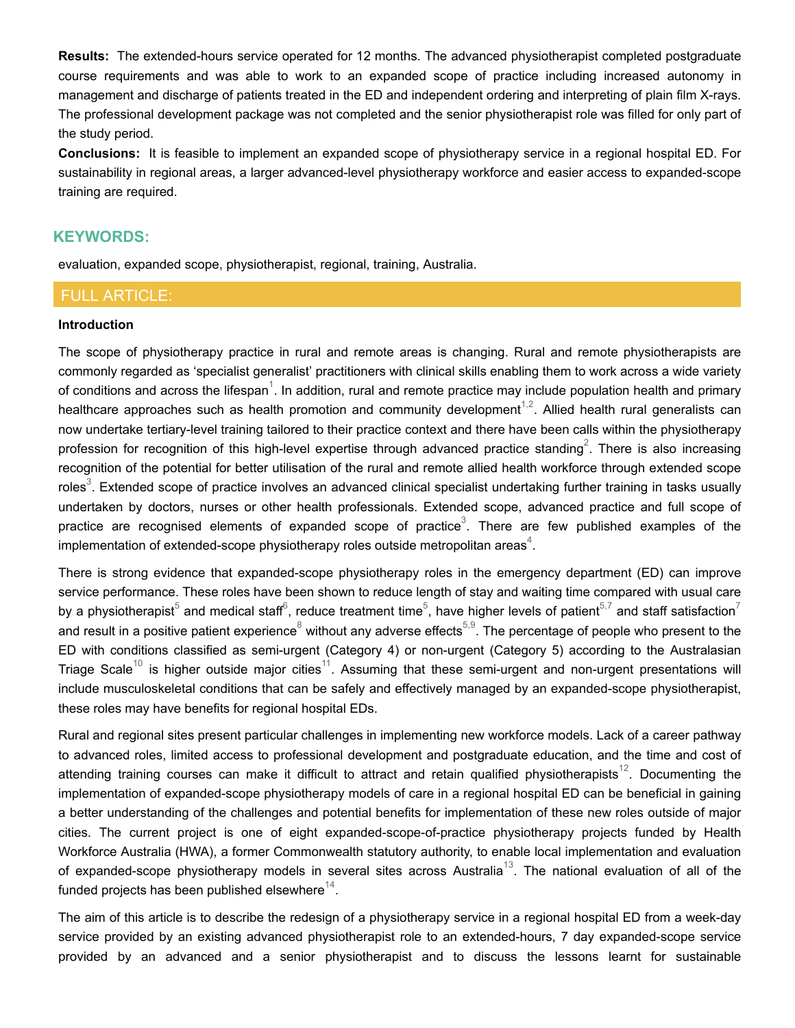**Results:** The extended-hours service operated for 12 months. The advanced physiotherapist completed postgraduate course requirements and was able to work to an expanded scope of practice including increased autonomy in management and discharge of patients treated in the ED and independent ordering and interpreting of plain film X-rays. The professional development package was not completed and the senior physiotherapist role was filled for only part of the study period.

**Conclusions:** It is feasible to implement an expanded scope of physiotherapy service in a regional hospital ED. For sustainability in regional areas, a larger advanced-level physiotherapy workforce and easier access to expanded-scope training are required.

# **KEYWORDS:**

evaluation, expanded scope, physiotherapist, regional, training, Australia.

# FULL ARTICLE:

#### **Introduction**

The scope of physiotherapy practice in rural and remote areas is changing. Rural and remote physiotherapists are commonly regarded as 'specialist generalist' practitioners with clinical skills enabling them to work across a wide variety of conditions and across the lifespan $^1$ . In addition, rural and remote practice may include population health and primary healthcare approaches such as health promotion and community development<sup>1,2</sup>. Allied health rural generalists can now undertake tertiary-level training tailored to their practice context and there have been calls within the physiotherapy profession for recognition of this high-level expertise through advanced practice standing $^2$ . There is also increasing recognition of the potential for better utilisation of the rural and remote allied health workforce through extended scope roles $^3$ . Extended scope of practice involves an advanced clinical specialist undertaking further training in tasks usually undertaken by doctors, nurses or other health professionals. Extended scope, advanced practice and full scope of practice are recognised elements of expanded scope of practice $^3$ . There are few published examples of the implementation of extended-scope physiotherapy roles outside metropolitan areas $^4\!.$ 

There is strong evidence that expanded-scope physiotherapy roles in the emergency department (ED) can improve service performance. These roles have been shown to reduce length of stay and waiting time compared with usual care by a physiotherapist $^5$  and medical staff $^6$ , reduce treatment time $^5$ , have higher levels of patient $^{5,7}$  and staff satisfaction $^7$ and result in a positive patient experience $^8$  without any adverse effects $^{5,9}$ . The percentage of people who present to the ED with conditions classified as semi-urgent (Category 4) or non-urgent (Category 5) according to the Australasian Triage Scale $^{10}$  is higher outside major cities $^{11}$ . Assuming that these semi-urgent and non-urgent presentations will include musculoskeletal conditions that can be safely and effectively managed by an expanded-scope physiotherapist, these roles may have benefits for regional hospital EDs.

Rural and regional sites present particular challenges in implementing new workforce models. Lack of a career pathway to advanced roles, limited access to professional development and postgraduate education, and the time and cost of attending training courses can make it difficult to attract and retain qualified physiotherapists $^{12}$ . Documenting the implementation of expanded-scope physiotherapy models of care in a regional hospital ED can be beneficial in gaining a better understanding of the challenges and potential benefits for implementation of these new roles outside of major cities. The current project is one of eight expanded-scope-of-practice physiotherapy projects funded by Health Workforce Australia (HWA), a former Commonwealth statutory authority, to enable local implementation and evaluation of expanded-scope physiotherapy models in several sites across Australia $^{13}$ . The national evaluation of all of the funded projects has been published elsewhere $^\mathrm{14}$ .

The aim of this article is to describe the redesign of a physiotherapy service in a regional hospital ED from a week-day service provided by an existing advanced physiotherapist role to an extended-hours, 7 day expanded-scope service provided by an advanced and a senior physiotherapist and to discuss the lessons learnt for sustainable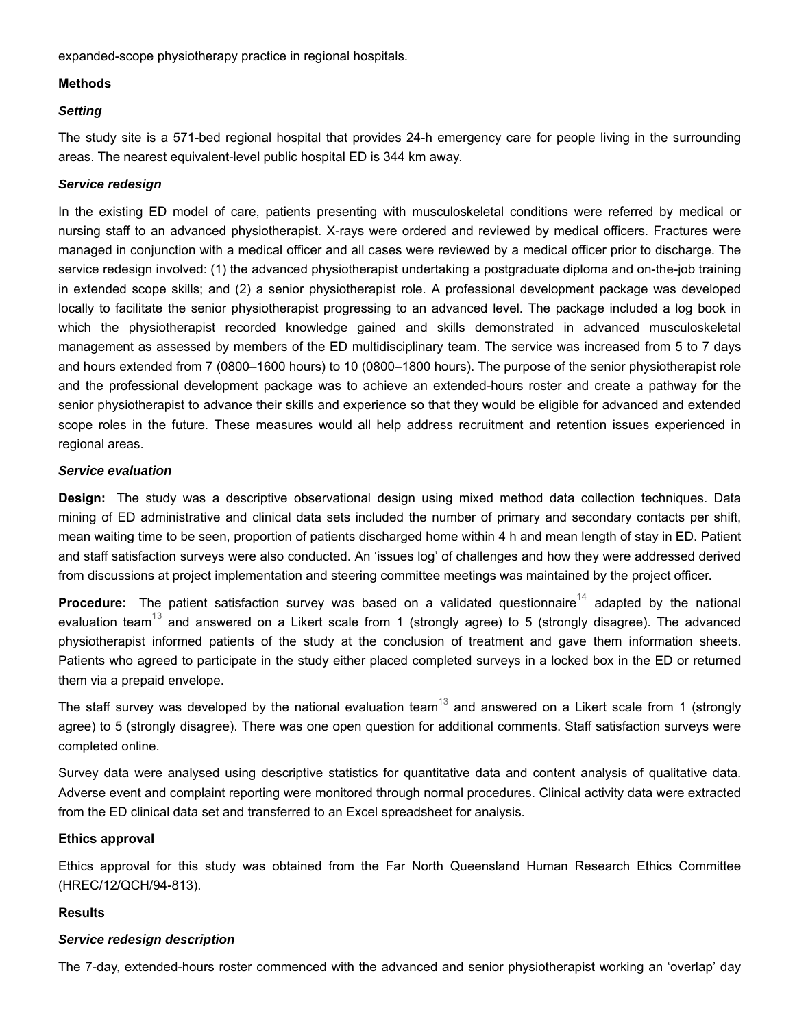expanded-scope physiotherapy practice in regional hospitals.

### **Methods**

### *Setting*

The study site is a 571-bed regional hospital that provides 24-h emergency care for people living in the surrounding areas. The nearest equivalent-level public hospital ED is 344 km away.

### *Service redesign*

In the existing ED model of care, patients presenting with musculoskeletal conditions were referred by medical or nursing staff to an advanced physiotherapist. X-rays were ordered and reviewed by medical officers. Fractures were managed in conjunction with a medical officer and all cases were reviewed by a medical officer prior to discharge. The service redesign involved: (1) the advanced physiotherapist undertaking a postgraduate diploma and on-the-job training in extended scope skills; and (2) a senior physiotherapist role. A professional development package was developed locally to facilitate the senior physiotherapist progressing to an advanced level. The package included a log book in which the physiotherapist recorded knowledge gained and skills demonstrated in advanced musculoskeletal management as assessed by members of the ED multidisciplinary team. The service was increased from 5 to 7 days and hours extended from 7 (0800–1600 hours) to 10 (0800–1800 hours). The purpose of the senior physiotherapist role and the professional development package was to achieve an extended-hours roster and create a pathway for the senior physiotherapist to advance their skills and experience so that they would be eligible for advanced and extended scope roles in the future. These measures would all help address recruitment and retention issues experienced in regional areas.

#### *Service evaluation*

**Design:** The study was a descriptive observational design using mixed method data collection techniques. Data mining of ED administrative and clinical data sets included the number of primary and secondary contacts per shift, mean waiting time to be seen, proportion of patients discharged home within 4 h and mean length of stay in ED. Patient and staff satisfaction surveys were also conducted. An 'issues log' of challenges and how they were addressed derived from discussions at project implementation and steering committee meetings was maintained by the project officer.

**Procedure:** The patient satisfaction survey was based on a validated questionnaire<sup>14</sup> adapted by the national evaluation team $^{13}$  and answered on a Likert scale from 1 (strongly agree) to 5 (strongly disagree). The advanced physiotherapist informed patients of the study at the conclusion of treatment and gave them information sheets. Patients who agreed to participate in the study either placed completed surveys in a locked box in the ED or returned them via a prepaid envelope.

The staff survey was developed by the national evaluation team $^{13}$  and answered on a Likert scale from 1 (strongly agree) to 5 (strongly disagree). There was one open question for additional comments. Staff satisfaction surveys were completed online.

Survey data were analysed using descriptive statistics for quantitative data and content analysis of qualitative data. Adverse event and complaint reporting were monitored through normal procedures. Clinical activity data were extracted from the ED clinical data set and transferred to an Excel spreadsheet for analysis.

## **Ethics approval**

Ethics approval for this study was obtained from the Far North Queensland Human Research Ethics Committee (HREC/12/QCH/94-813).

#### **Results**

## *Service redesign description*

The 7-day, extended-hours roster commenced with the advanced and senior physiotherapist working an 'overlap' day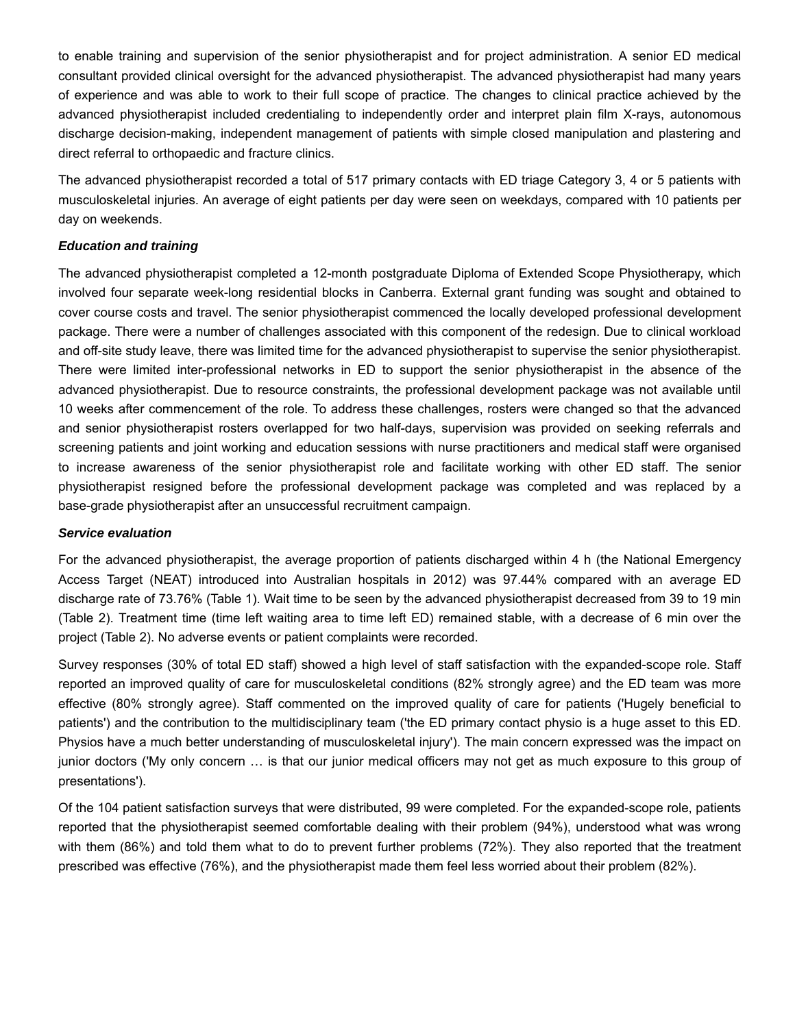to enable training and supervision of the senior physiotherapist and for project administration. A senior ED medical consultant provided clinical oversight for the advanced physiotherapist. The advanced physiotherapist had many years of experience and was able to work to their full scope of practice. The changes to clinical practice achieved by the advanced physiotherapist included credentialing to independently order and interpret plain film X-rays, autonomous discharge decision-making, independent management of patients with simple closed manipulation and plastering and direct referral to orthopaedic and fracture clinics.

The advanced physiotherapist recorded a total of 517 primary contacts with ED triage Category 3, 4 or 5 patients with musculoskeletal injuries. An average of eight patients per day were seen on weekdays, compared with 10 patients per day on weekends.

### *Education and training*

The advanced physiotherapist completed a 12-month postgraduate Diploma of Extended Scope Physiotherapy, which involved four separate week-long residential blocks in Canberra. External grant funding was sought and obtained to cover course costs and travel. The senior physiotherapist commenced the locally developed professional development package. There were a number of challenges associated with this component of the redesign. Due to clinical workload and off-site study leave, there was limited time for the advanced physiotherapist to supervise the senior physiotherapist. There were limited inter-professional networks in ED to support the senior physiotherapist in the absence of the advanced physiotherapist. Due to resource constraints, the professional development package was not available until 10 weeks after commencement of the role. To address these challenges, rosters were changed so that the advanced and senior physiotherapist rosters overlapped for two half-days, supervision was provided on seeking referrals and screening patients and joint working and education sessions with nurse practitioners and medical staff were organised to increase awareness of the senior physiotherapist role and facilitate working with other ED staff. The senior physiotherapist resigned before the professional development package was completed and was replaced by a base-grade physiotherapist after an unsuccessful recruitment campaign.

#### *Service evaluation*

For the advanced physiotherapist, the average proportion of patients discharged within 4 h (the National Emergency Access Target (NEAT) introduced into Australian hospitals in 2012) was 97.44% compared with an average ED discharge rate of 73.76% (Table 1). Wait time to be seen by the advanced physiotherapist decreased from 39 to 19 min (Table 2). Treatment time (time left waiting area to time left ED) remained stable, with a decrease of 6 min over the project (Table 2). No adverse events or patient complaints were recorded.

Survey responses (30% of total ED staff) showed a high level of staff satisfaction with the expanded-scope role. Staff reported an improved quality of care for musculoskeletal conditions (82% strongly agree) and the ED team was more effective (80% strongly agree). Staff commented on the improved quality of care for patients ('Hugely beneficial to patients') and the contribution to the multidisciplinary team ('the ED primary contact physio is a huge asset to this ED. Physios have a much better understanding of musculoskeletal injury'). The main concern expressed was the impact on junior doctors ('My only concern … is that our junior medical officers may not get as much exposure to this group of presentations').

Of the 104 patient satisfaction surveys that were distributed, 99 were completed. For the expanded-scope role, patients reported that the physiotherapist seemed comfortable dealing with their problem (94%), understood what was wrong with them (86%) and told them what to do to prevent further problems (72%). They also reported that the treatment prescribed was effective (76%), and the physiotherapist made them feel less worried about their problem (82%).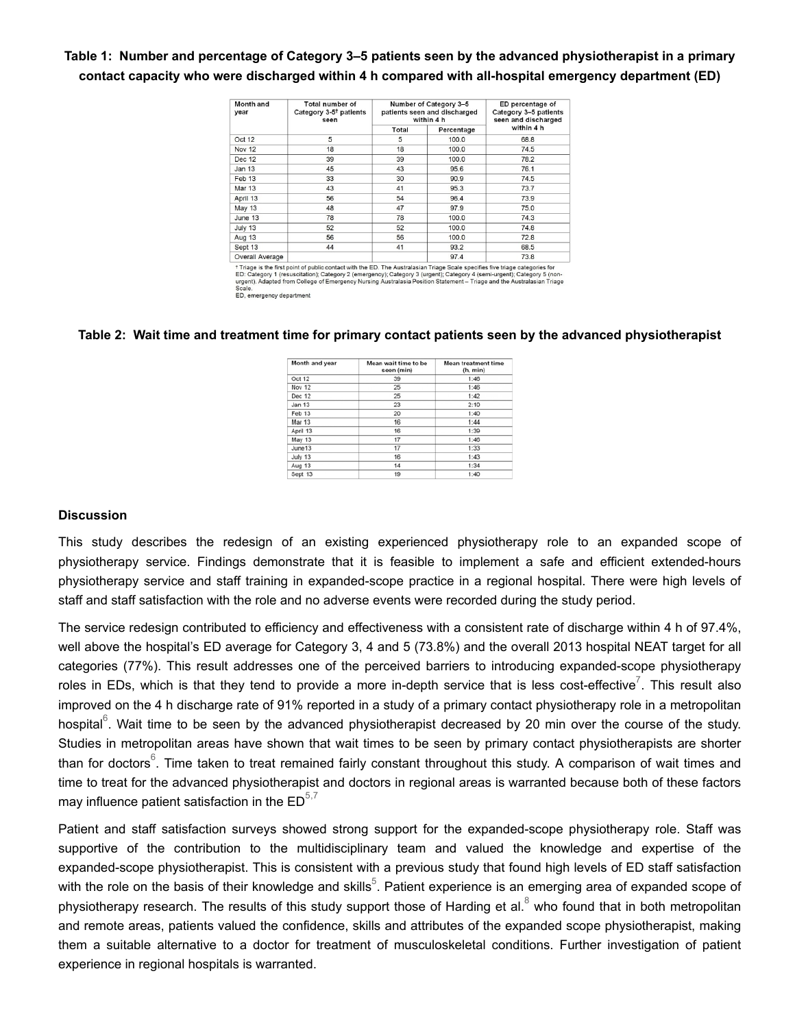# **Table 1: Number and percentage of Category 3–5 patients seen by the advanced physiotherapist in a primary contact capacity who were discharged within 4 h compared with all-hospital emergency department (ED)**

| Month and<br>year | <b>Total number of</b><br>Category 3-5 <sup>†</sup> patients<br>seen | Number of Category 3-5<br>patients seen and discharged<br>within 4 h |            | ED percentage of<br>Category 3-5 patients<br>seen and discharged |
|-------------------|----------------------------------------------------------------------|----------------------------------------------------------------------|------------|------------------------------------------------------------------|
|                   |                                                                      | Total                                                                | Percentage | within 4 h                                                       |
| Oct 12            | 5                                                                    | 5                                                                    | 100.0      | 68.8                                                             |
| <b>Nov 12</b>     | 18                                                                   | 18                                                                   | 100.0      | 74.5                                                             |
| Dec 12            | 39                                                                   | 39                                                                   | 100.0      | 78.2                                                             |
| <b>Jan 13</b>     | 45                                                                   | 43                                                                   | 95.6       | 76.1                                                             |
| Feb 13            | 33                                                                   | 30                                                                   | 90.9       | 74.5                                                             |
| <b>Mar 13</b>     | 43                                                                   | 41                                                                   | 95.3       | 73.7                                                             |
| April 13          | 56                                                                   | 54                                                                   | 96.4       | 73.9                                                             |
| <b>May 13</b>     | 48                                                                   | 47                                                                   | 97.9       | 75.0                                                             |
| June 13           | 78                                                                   | 78                                                                   | 100.0      | 74.3                                                             |
| July 13           | 52                                                                   | 52                                                                   | 100.0      | 74.8                                                             |
| <b>Aug 13</b>     | 56                                                                   | 56                                                                   | 100.0      | 72.8                                                             |
| Sept 13           | 44                                                                   | 41                                                                   | 93.2       | 68.5                                                             |
| Overall Average   |                                                                      |                                                                      | 97.4       | 73.8                                                             |

<sup>1</sup>Triage is the first point of public contact with the ED. The Australasian Triage Scale specifies five triage categories for ED: Category 1 (resuscitation); Category 2 (emergency); Category 3 (urgent); Category 4 (semi-u

#### **Table 2: Wait time and treatment time for primary contact patients seen by the advanced physiotherapist**

| Month and year | Mean wait time to be<br>seen (min) | <b>Mean treatment time</b><br>(h, min) |
|----------------|------------------------------------|----------------------------------------|
| Oct 12         | 39                                 | 1:46                                   |
| Nov 12         | 25                                 | 1:46                                   |
| Dec 12         | 25                                 | 1:42                                   |
| Jan 13         | 23                                 | 2:10                                   |
| Feb 13         | 20                                 | 1:40                                   |
| Mar 13         | 16                                 | 1:44                                   |
| April 13       | 16                                 | 1:39                                   |
| May 13         | 17                                 | 1:46                                   |
| June13         | 17                                 | 1:33                                   |
| July 13        | 16                                 | 1:43                                   |
| Aug 13         | 14                                 | 1:34                                   |
| Sept 13        | 19                                 | 1:40                                   |

#### **Discussion**

This study describes the redesign of an existing experienced physiotherapy role to an expanded scope of physiotherapy service. Findings demonstrate that it is feasible to implement a safe and efficient extended-hours physiotherapy service and staff training in expanded-scope practice in a regional hospital. There were high levels of staff and staff satisfaction with the role and no adverse events were recorded during the study period.

The service redesign contributed to efficiency and effectiveness with a consistent rate of discharge within 4 h of 97.4%, well above the hospital's ED average for Category 3, 4 and 5 (73.8%) and the overall 2013 hospital NEAT target for all categories (77%). This result addresses one of the perceived barriers to introducing expanded-scope physiotherapy roles in EDs, which is that they tend to provide a more in-depth service that is less cost-effective $^7$ . This result also improved on the 4 h discharge rate of 91% reported in a study of a primary contact physiotherapy role in a metropolitan hospital $^6$ . Wait time to be seen by the advanced physiotherapist decreased by 20 min over the course of the study. Studies in metropolitan areas have shown that wait times to be seen by primary contact physiotherapists are shorter than for doctors $^\mathrm{6}$ . Time taken to treat remained fairly constant throughout this study. A comparison of wait times and time to treat for the advanced physiotherapist and doctors in regional areas is warranted because both of these factors may influence patient satisfaction in the  $\mathsf{ED}^{5,7}$ 

Patient and staff satisfaction surveys showed strong support for the expanded-scope physiotherapy role. Staff was supportive of the contribution to the multidisciplinary team and valued the knowledge and expertise of the expanded-scope physiotherapist. This is consistent with a previous study that found high levels of ED staff satisfaction with the role on the basis of their knowledge and skills $^5$ . Patient experience is an emerging area of expanded scope of physiotherapy research. The results of this study support those of Harding et al. $^8$  who found that in both metropolitan and remote areas, patients valued the confidence, skills and attributes of the expanded scope physiotherapist, making them a suitable alternative to a doctor for treatment of musculoskeletal conditions. Further investigation of patient experience in regional hospitals is warranted.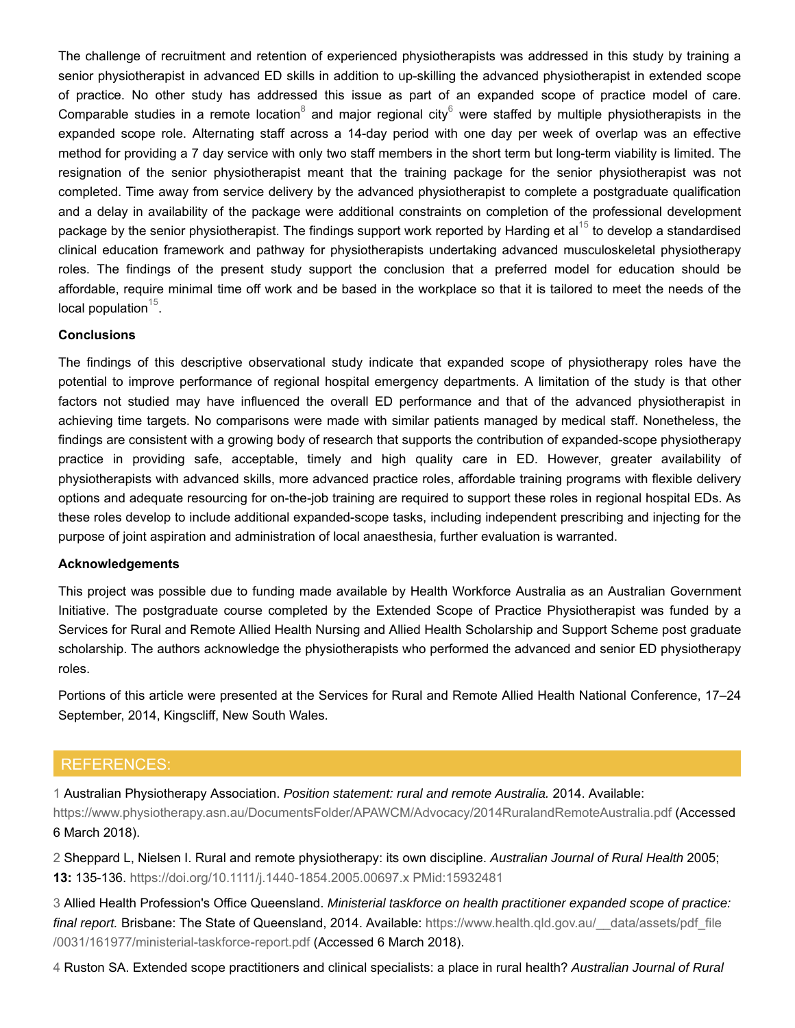The challenge of recruitment and retention of experienced physiotherapists was addressed in this study by training a senior physiotherapist in advanced ED skills in addition to up-skilling the advanced physiotherapist in extended scope of practice. No other study has addressed this issue as part of an expanded scope of practice model of care. Comparable studies in a remote location $^8$  and major regional city $^6$  were staffed by multiple physiotherapists in the expanded scope role. Alternating staff across a 14-day period with one day per week of overlap was an effective method for providing a 7 day service with only two staff members in the short term but long-term viability is limited. The resignation of the senior physiotherapist meant that the training package for the senior physiotherapist was not completed. Time away from service delivery by the advanced physiotherapist to complete a postgraduate qualification and a delay in availability of the package were additional constraints on completion of the professional development package by the senior physiotherapist. The findings support work reported by Harding et al $^{15}$  to develop a standardised clinical education framework and pathway for physiotherapists undertaking advanced musculoskeletal physiotherapy roles. The findings of the present study support the conclusion that a preferred model for education should be affordable, require minimal time off work and be based in the workplace so that it is tailored to meet the needs of the local population $^{15}$ .

### **Conclusions**

The findings of this descriptive observational study indicate that expanded scope of physiotherapy roles have the potential to improve performance of regional hospital emergency departments. A limitation of the study is that other factors not studied may have influenced the overall ED performance and that of the advanced physiotherapist in achieving time targets. No comparisons were made with similar patients managed by medical staff. Nonetheless, the findings are consistent with a growing body of research that supports the contribution of expanded-scope physiotherapy practice in providing safe, acceptable, timely and high quality care in ED. However, greater availability of physiotherapists with advanced skills, more advanced practice roles, affordable training programs with flexible delivery options and adequate resourcing for on-the-job training are required to support these roles in regional hospital EDs. As these roles develop to include additional expanded-scope tasks, including independent prescribing and injecting for the purpose of joint aspiration and administration of local anaesthesia, further evaluation is warranted.

#### **Acknowledgements**

This project was possible due to funding made available by Health Workforce Australia as an Australian Government Initiative. The postgraduate course completed by the Extended Scope of Practice Physiotherapist was funded by a Services for Rural and Remote Allied Health Nursing and Allied Health Scholarship and Support Scheme post graduate scholarship. The authors acknowledge the physiotherapists who performed the advanced and senior ED physiotherapy roles.

Portions of this article were presented at the Services for Rural and Remote Allied Health National Conference, 17–24 September, 2014, Kingscliff, New South Wales.

# REFERENCES:

1 Australian Physiotherapy Association. *Position statement: rural and remote Australia.* 2014. Available:

https://www.physiotherapy.asn.au/DocumentsFolder/APAWCM/Advocacy/2014RuralandRemoteAustralia.pdf (Accessed 6 March 2018).

2 Sheppard L, Nielsen I. Rural and remote physiotherapy: its own discipline. *Australian Journal of Rural Health* 2005; **13:** 135-136. https://doi.org/10.1111/j.1440-1854.2005.00697.x PMid:15932481

3 Allied Health Profession's Office Queensland. *Ministerial taskforce on health practitioner expanded scope of practice: final report.* Brisbane: The State of Queensland, 2014. Available: https://www.health.qld.gov.au/\_\_data/assets/pdf\_file /0031/161977/ministerial-taskforce-report.pdf (Accessed 6 March 2018).

4 Ruston SA. Extended scope practitioners and clinical specialists: a place in rural health? *Australian Journal of Rural*